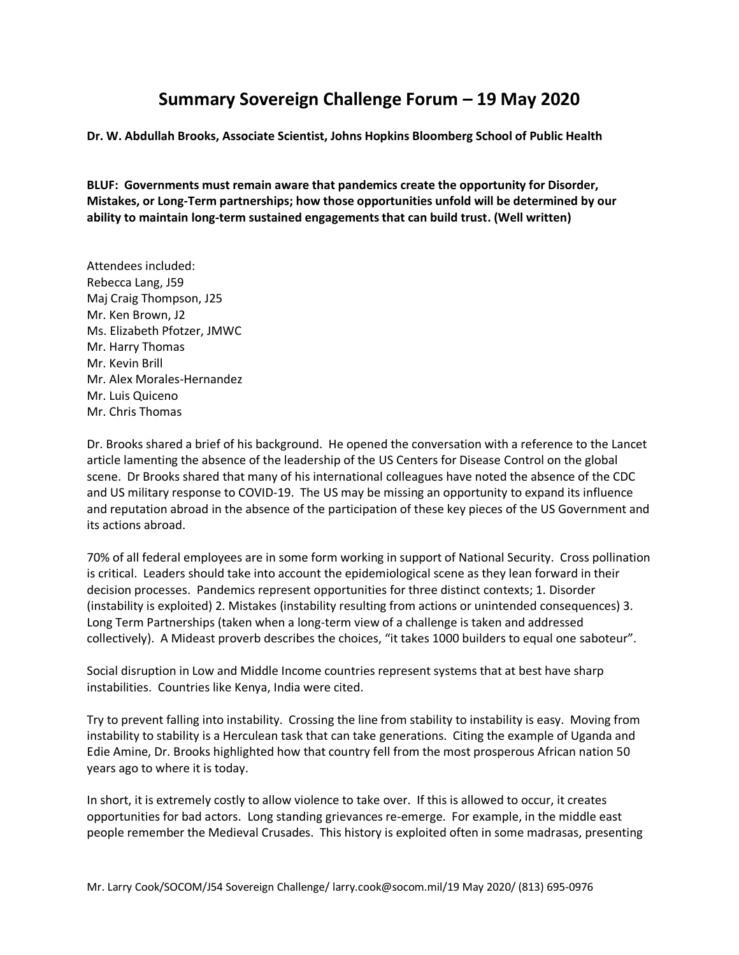## **Summary Sovereign Challenge Forum – 19 May 2020**

**Dr. W. Abdullah Brooks, Associate Scientist, Johns Hopkins Bloomberg School of Public Health**

**BLUF: Governments must remain aware that pandemics create the opportunity for Disorder, Mistakes, or Long-Term partnerships; how those opportunities unfold will be determined by our ability to maintain long-term sustained engagements that can build trust. (Well written)**

Attendees included: Rebecca Lang, J59 Maj Craig Thompson, J25 Mr. Ken Brown, J2 Ms. Elizabeth Pfotzer, JMWC Mr. Harry Thomas Mr. Kevin Brill Mr. Alex Morales-Hernandez Mr. Luis Quiceno Mr. Chris Thomas

Dr. Brooks shared a brief of his background. He opened the conversation with a reference to the Lancet article lamenting the absence of the leadership of the US Centers for Disease Control on the global scene. Dr Brooks shared that many of his international colleagues have noted the absence of the CDC and US military response to COVID-19. The US may be missing an opportunity to expand its influence and reputation abroad in the absence of the participation of these key pieces of the US Government and its actions abroad.

70% of all federal employees are in some form working in support of National Security. Cross pollination is critical. Leaders should take into account the epidemiological scene as they lean forward in their decision processes. Pandemics represent opportunities for three distinct contexts; 1. Disorder (instability is exploited) 2. Mistakes (instability resulting from actions or unintended consequences) 3. Long Term Partnerships (taken when a long-term view of a challenge is taken and addressed collectively). A Mideast proverb describes the choices, "it takes 1000 builders to equal one saboteur".

Social disruption in Low and Middle Income countries represent systems that at best have sharp instabilities. Countries like Kenya, India were cited.

Try to prevent falling into instability. Crossing the line from stability to instability is easy. Moving from instability to stability is a Herculean task that can take generations. Citing the example of Uganda and Edie Amine, Dr. Brooks highlighted how that country fell from the most prosperous African nation 50 years ago to where it is today.

In short, it is extremely costly to allow violence to take over. If this is allowed to occur, it creates opportunities for bad actors. Long standing grievances re-emerge. For example, in the middle east people remember the Medieval Crusades. This history is exploited often in some madrasas, presenting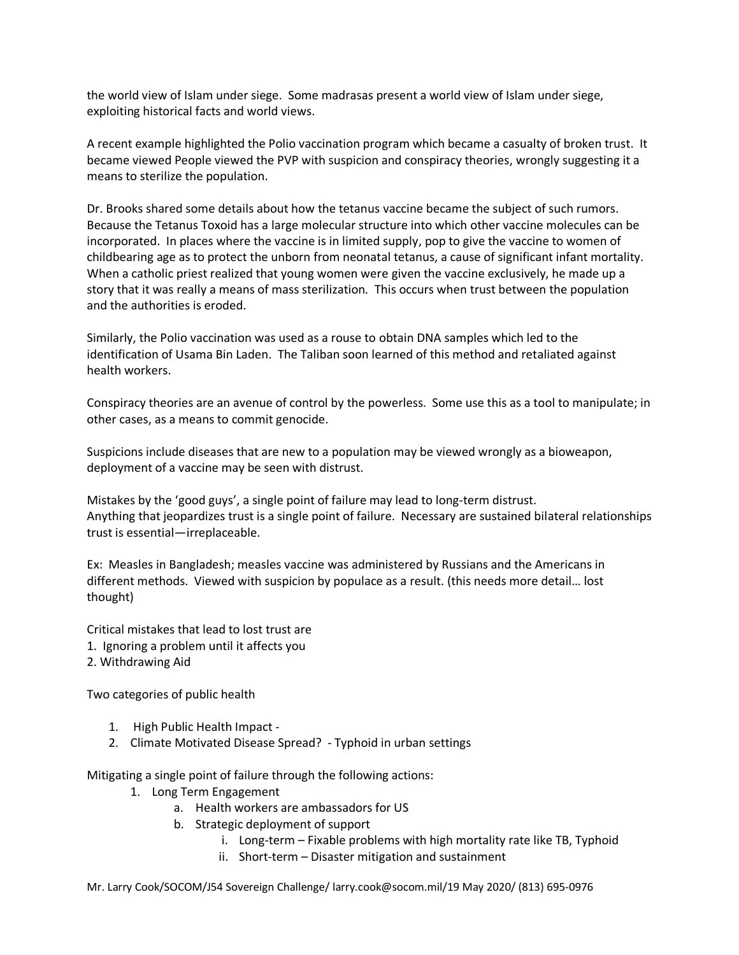the world view of Islam under siege. Some madrasas present a world view of Islam under siege, exploiting historical facts and world views.

A recent example highlighted the Polio vaccination program which became a casualty of broken trust. It became viewed People viewed the PVP with suspicion and conspiracy theories, wrongly suggesting it a means to sterilize the population.

Dr. Brooks shared some details about how the tetanus vaccine became the subject of such rumors. Because the Tetanus Toxoid has a large molecular structure into which other vaccine molecules can be incorporated. In places where the vaccine is in limited supply, pop to give the vaccine to women of childbearing age as to protect the unborn from neonatal tetanus, a cause of significant infant mortality. When a catholic priest realized that young women were given the vaccine exclusively, he made up a story that it was really a means of mass sterilization. This occurs when trust between the population and the authorities is eroded.

Similarly, the Polio vaccination was used as a rouse to obtain DNA samples which led to the identification of Usama Bin Laden. The Taliban soon learned of this method and retaliated against health workers.

Conspiracy theories are an avenue of control by the powerless. Some use this as a tool to manipulate; in other cases, as a means to commit genocide.

Suspicions include diseases that are new to a population may be viewed wrongly as a bioweapon, deployment of a vaccine may be seen with distrust.

Mistakes by the 'good guys', a single point of failure may lead to long-term distrust. Anything that jeopardizes trust is a single point of failure. Necessary are sustained bilateral relationships trust is essential—irreplaceable.

Ex: Measles in Bangladesh; measles vaccine was administered by Russians and the Americans in different methods. Viewed with suspicion by populace as a result. (this needs more detail… lost thought)

Critical mistakes that lead to lost trust are

- 1. Ignoring a problem until it affects you
- 2. Withdrawing Aid

Two categories of public health

- 1. High Public Health Impact -
- 2. Climate Motivated Disease Spread? Typhoid in urban settings

Mitigating a single point of failure through the following actions:

- 1. Long Term Engagement
	- a. Health workers are ambassadors for US
	- b. Strategic deployment of support
		- i. Long-term Fixable problems with high mortality rate like TB, Typhoid
		- ii. Short-term Disaster mitigation and sustainment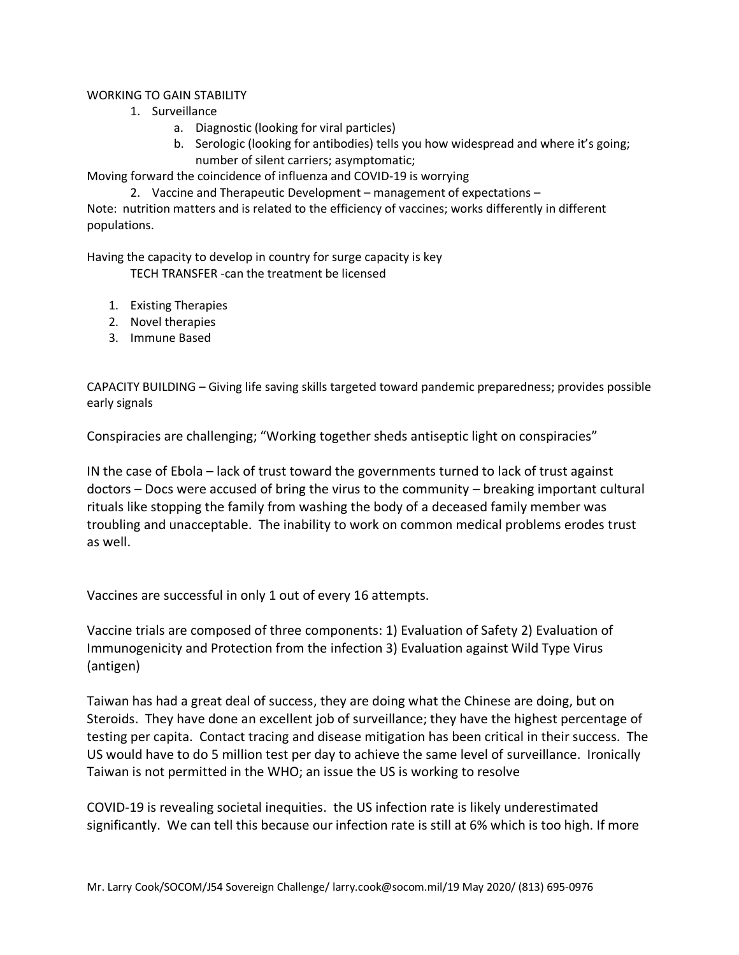## WORKING TO GAIN STABILITY

- 1. Surveillance
	- a. Diagnostic (looking for viral particles)
	- b. Serologic (looking for antibodies) tells you how widespread and where it's going; number of silent carriers; asymptomatic;

Moving forward the coincidence of influenza and COVID-19 is worrying

2. Vaccine and Therapeutic Development – management of expectations –

Note: nutrition matters and is related to the efficiency of vaccines; works differently in different populations.

Having the capacity to develop in country for surge capacity is key

TECH TRANSFER -can the treatment be licensed

- 1. Existing Therapies
- 2. Novel therapies
- 3. Immune Based

CAPACITY BUILDING – Giving life saving skills targeted toward pandemic preparedness; provides possible early signals

Conspiracies are challenging; "Working together sheds antiseptic light on conspiracies"

IN the case of Ebola – lack of trust toward the governments turned to lack of trust against doctors – Docs were accused of bring the virus to the community – breaking important cultural rituals like stopping the family from washing the body of a deceased family member was troubling and unacceptable. The inability to work on common medical problems erodes trust as well.

Vaccines are successful in only 1 out of every 16 attempts.

Vaccine trials are composed of three components: 1) Evaluation of Safety 2) Evaluation of Immunogenicity and Protection from the infection 3) Evaluation against Wild Type Virus (antigen)

Taiwan has had a great deal of success, they are doing what the Chinese are doing, but on Steroids. They have done an excellent job of surveillance; they have the highest percentage of testing per capita. Contact tracing and disease mitigation has been critical in their success. The US would have to do 5 million test per day to achieve the same level of surveillance. Ironically Taiwan is not permitted in the WHO; an issue the US is working to resolve

COVID-19 is revealing societal inequities. the US infection rate is likely underestimated significantly. We can tell this because our infection rate is still at 6% which is too high. If more